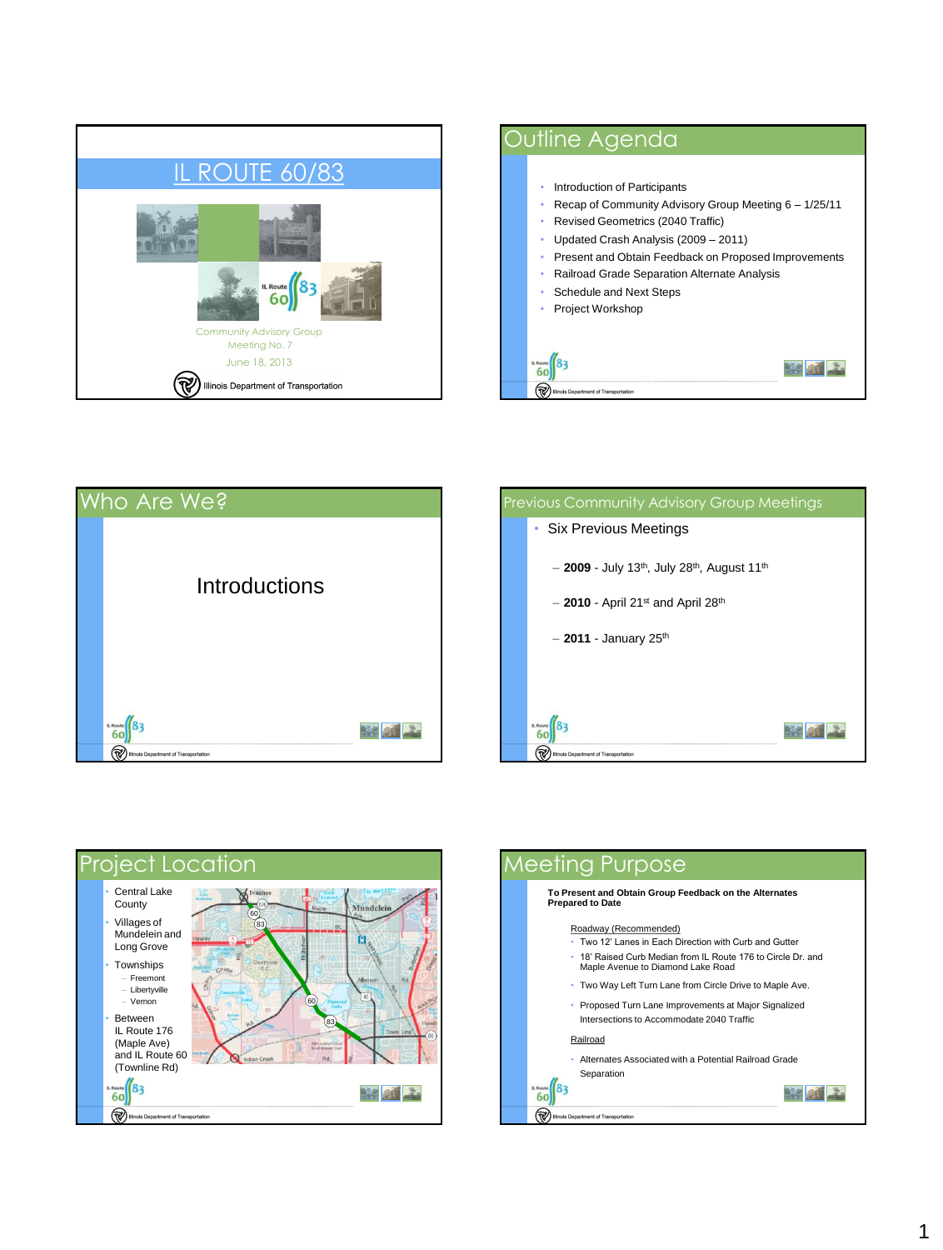

## Outline Agenda • Introduction of Participants • Recap of Community Advisory Group Meeting 6 – 1/25/11 • Revised Geometrics (2040 Traffic) • Updated Crash Analysis (2009 – 2011) • Present and Obtain Feedback on Proposed Improvements • Railroad Grade Separation Alternate Analysis • Schedule and Next Steps • Project Workshop  $\frac{1}{60}$  83 Mai 2

(TV) Illinois Department of Transporta







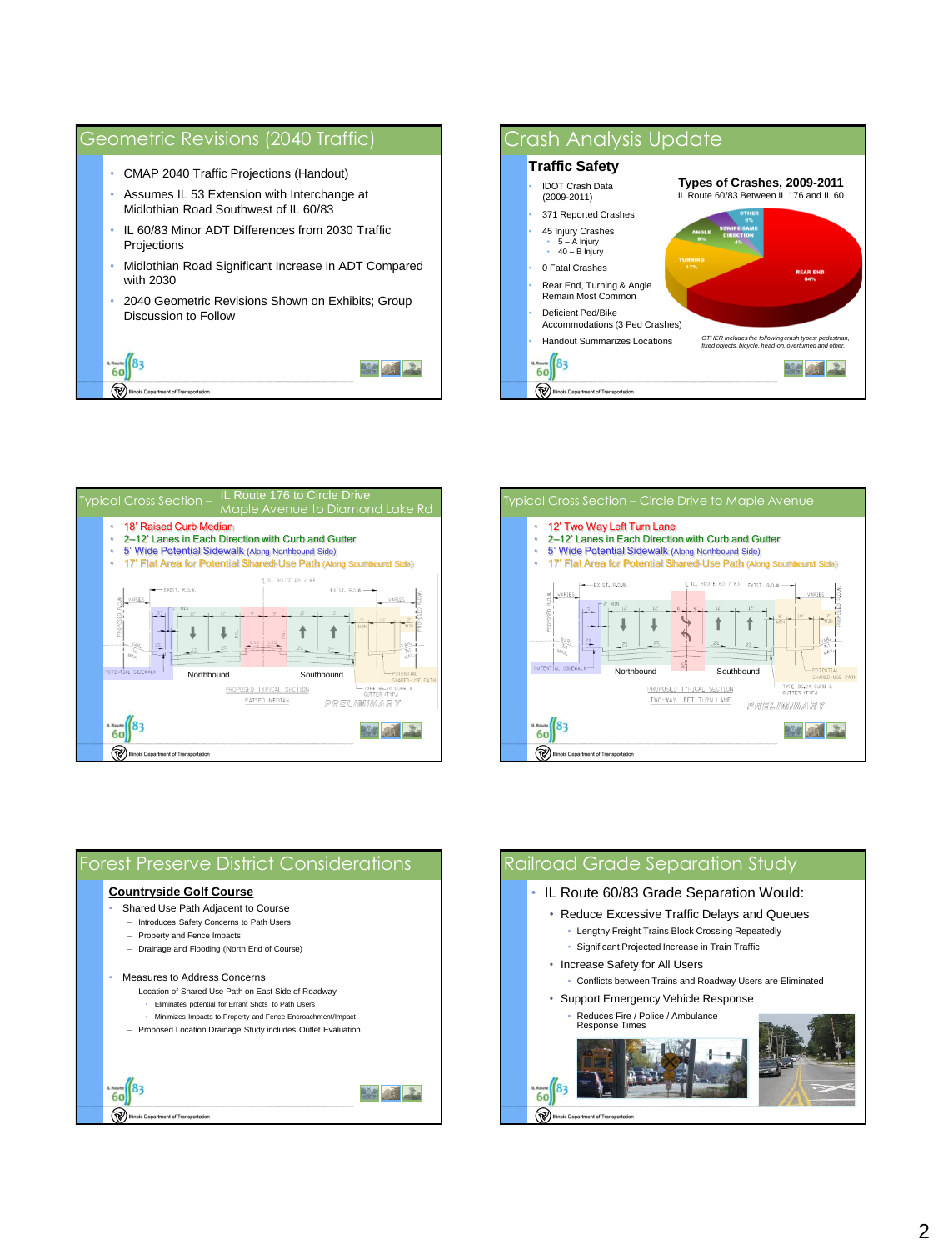